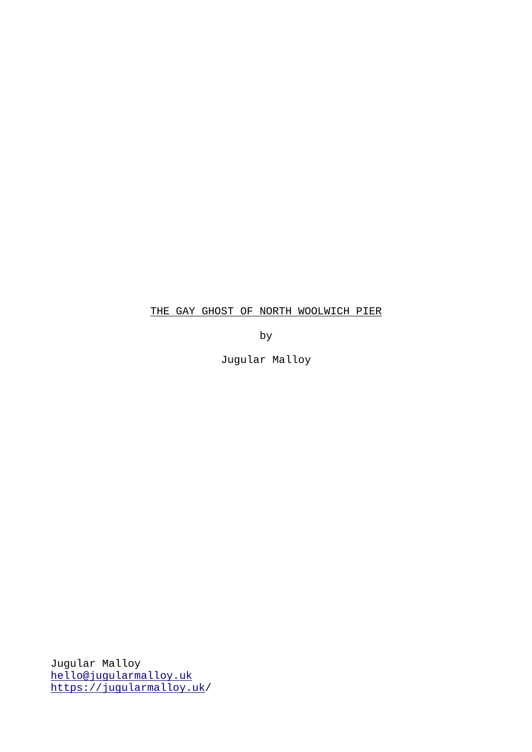## THE GAY GHOST OF NORTH WOOLWICH PIER

by

Jugular Malloy

Jugular Malloy [hello@jugularmalloy.uk](mailto:hello@jugularmalloy.uk) <https://jugularmalloy.uk/>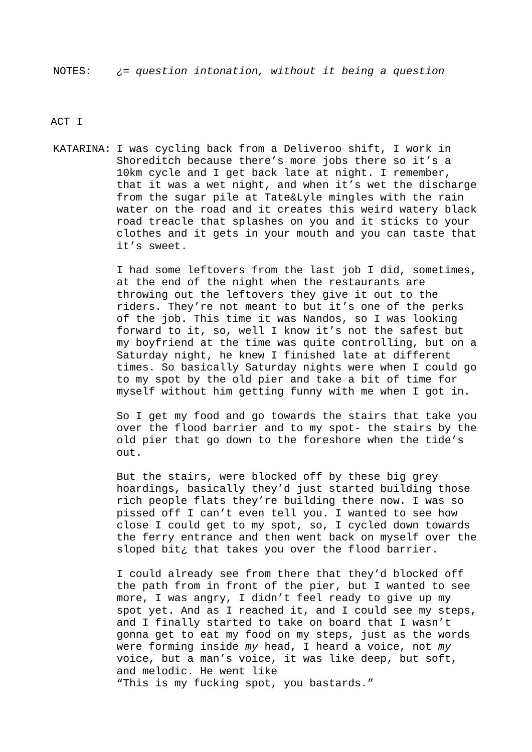ACT I

KATARINA: I was cycling back from a Deliveroo shift, I work in Shoreditch because there's more jobs there so it's a 10km cycle and I get back late at night. I remember, that it was a wet night, and when it's wet the discharge from the sugar pile at Tate&Lyle mingles with the rain water on the road and it creates this weird watery black road treacle that splashes on you and it sticks to your clothes and it gets in your mouth and you can taste that it's sweet.

> I had some leftovers from the last job I did, sometimes, at the end of the night when the restaurants are throwing out the leftovers they give it out to the riders. They're not meant to but it's one of the perks of the job. This time it was Nandos, so I was looking forward to it, so, well I know it's not the safest but my boyfriend at the time was quite controlling, but on a Saturday night, he knew I finished late at different times. So basically Saturday nights were when I could go to my spot by the old pier and take a bit of time for myself without him getting funny with me when I got in.

> So I get my food and go towards the stairs that take you over the flood barrier and to my spot- the stairs by the old pier that go down to the foreshore when the tide's out.

> But the stairs, were blocked off by these big grey hoardings, basically they'd just started building those rich people flats they're building there now. I was so pissed off I can't even tell you. I wanted to see how close I could get to my spot, so, I cycled down towards the ferry entrance and then went back on myself over the sloped bit¿ that takes you over the flood barrier.

> I could already see from there that they'd blocked off the path from in front of the pier, but I wanted to see more, I was angry, I didn't feel ready to give up my spot yet. And as I reached it, and I could see my steps, and I finally started to take on board that I wasn't gonna get to eat my food on my steps, just as the words were forming inside *my* head, I heard a voice, not *my* voice, but a man's voice, it was like deep, but soft, and melodic. He went like "This is my fucking spot, you bastards."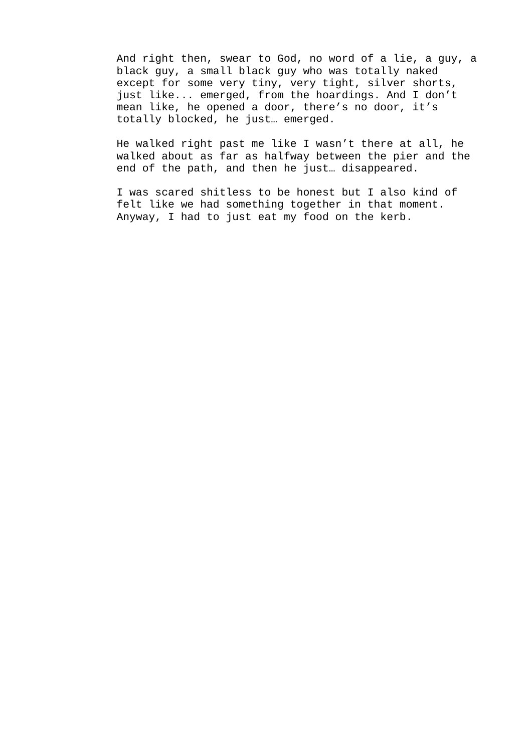And right then, swear to God, no word of a lie, a guy, a black guy, a small black guy who was totally naked except for some very tiny, very tight, silver shorts, just like... emerged, from the hoardings. And I don't mean like, he opened a door, there's no door, it's totally blocked, he just… emerged.

He walked right past me like I wasn't there at all, he walked about as far as halfway between the pier and the end of the path, and then he just… disappeared.

I was scared shitless to be honest but I also kind of felt like we had something together in that moment. Anyway, I had to just eat my food on the kerb.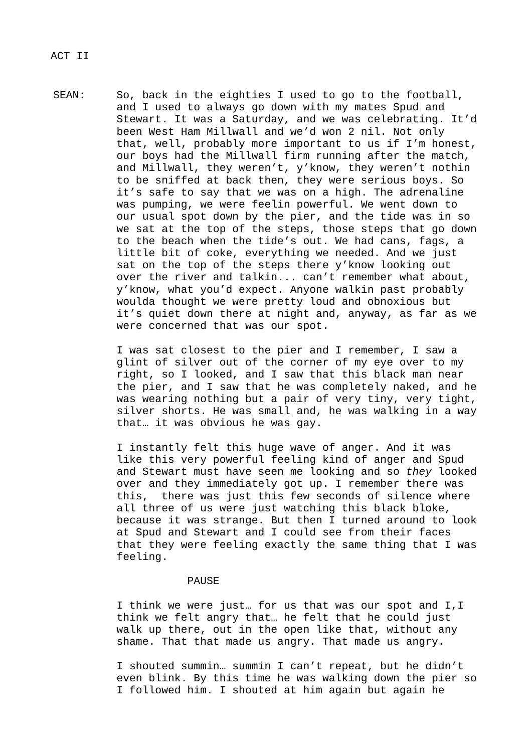SEAN: So, back in the eighties I used to go to the football, and I used to always go down with my mates Spud and Stewart. It was a Saturday, and we was celebrating. It'd been West Ham Millwall and we'd won 2 nil. Not only that, well, probably more important to us if I'm honest, our boys had the Millwall firm running after the match, and Millwall, they weren't, y'know, they weren't nothin to be sniffed at back then, they were serious boys. So it's safe to say that we was on a high. The adrenaline was pumping, we were feelin powerful. We went down to our usual spot down by the pier, and the tide was in so we sat at the top of the steps, those steps that go down to the beach when the tide's out. We had cans, fags, a little bit of coke, everything we needed. And we just sat on the top of the steps there y'know looking out over the river and talkin... can't remember what about, y'know, what you'd expect. Anyone walkin past probably woulda thought we were pretty loud and obnoxious but it's quiet down there at night and, anyway, as far as we were concerned that was our spot.

> I was sat closest to the pier and I remember, I saw a glint of silver out of the corner of my eye over to my right, so I looked, and I saw that this black man near the pier, and I saw that he was completely naked, and he was wearing nothing but a pair of very tiny, very tight, silver shorts. He was small and, he was walking in a way that… it was obvious he was gay.

> I instantly felt this huge wave of anger. And it was like this very powerful feeling kind of anger and Spud and Stewart must have seen me looking and so *they* looked over and they immediately got up. I remember there was this, there was just this few seconds of silence where all three of us were just watching this black bloke, because it was strange. But then I turned around to look at Spud and Stewart and I could see from their faces that they were feeling exactly the same thing that I was feeling.

## PAUSE

I think we were just… for us that was our spot and I,I think we felt angry that… he felt that he could just walk up there, out in the open like that, without any shame. That that made us angry. That made us angry.

I shouted summin… summin I can't repeat, but he didn't even blink. By this time he was walking down the pier so I followed him. I shouted at him again but again he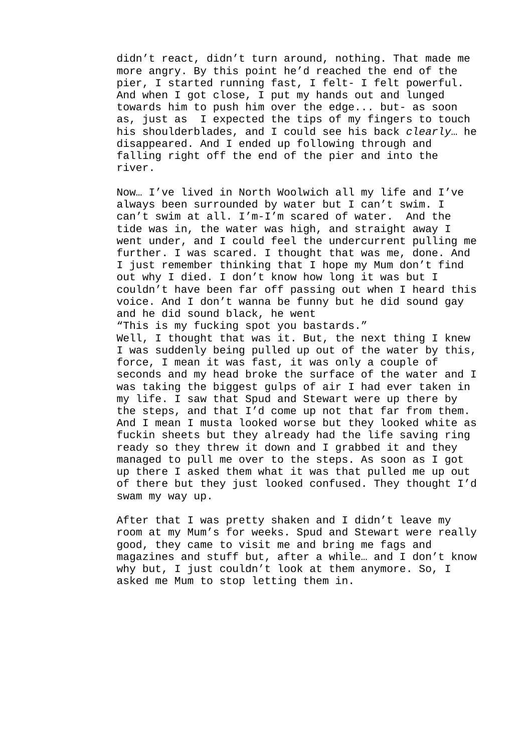didn't react, didn't turn around, nothing. That made me more angry. By this point he'd reached the end of the pier, I started running fast, I felt- I felt powerful. And when I got close, I put my hands out and lunged towards him to push him over the edge... but- as soon as, just as I expected the tips of my fingers to touch his shoulderblades, and I could see his back *clearly*… he disappeared. And I ended up following through and falling right off the end of the pier and into the river.

Now… I've lived in North Woolwich all my life and I've always been surrounded by water but I can't swim. I can't swim at all. I'm-I'm scared of water. And the tide was in, the water was high, and straight away I went under, and I could feel the undercurrent pulling me further. I was scared. I thought that was me, done. And I just remember thinking that I hope my Mum don't find out why I died. I don't know how long it was but I couldn't have been far off passing out when I heard this voice. And I don't wanna be funny but he did sound gay and he did sound black, he went "This is my fucking spot you bastards." Well, I thought that was it. But, the next thing I knew I was suddenly being pulled up out of the water by this, force, I mean it was fast, it was only a couple of seconds and my head broke the surface of the water and I was taking the biggest gulps of air I had ever taken in my life. I saw that Spud and Stewart were up there by the steps, and that I'd come up not that far from them. And I mean I musta looked worse but they looked white as fuckin sheets but they already had the life saving ring ready so they threw it down and I grabbed it and they managed to pull me over to the steps. As soon as I got up there I asked them what it was that pulled me up out of there but they just looked confused. They thought I'd swam my way up.

After that I was pretty shaken and I didn't leave my room at my Mum's for weeks. Spud and Stewart were really good, they came to visit me and bring me fags and magazines and stuff but, after a while… and I don't know why but, I just couldn't look at them anymore. So, I asked me Mum to stop letting them in.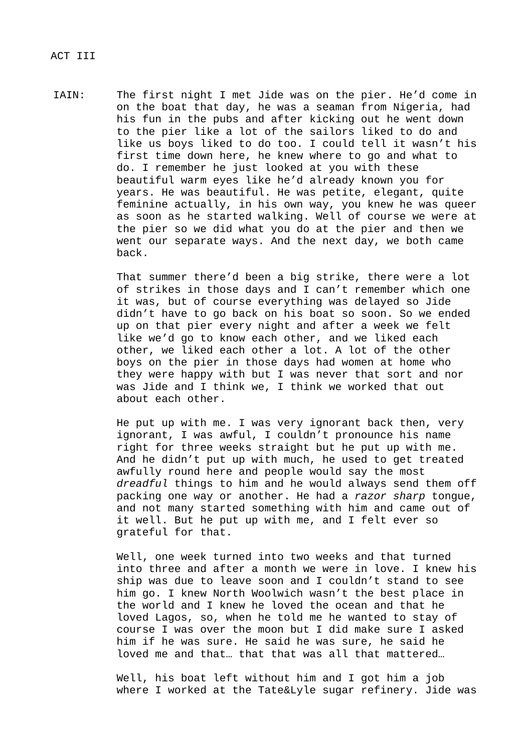IAIN: The first night I met Jide was on the pier. He'd come in on the boat that day, he was a seaman from Nigeria, had his fun in the pubs and after kicking out he went down to the pier like a lot of the sailors liked to do and like us boys liked to do too. I could tell it wasn't his first time down here, he knew where to go and what to do. I remember he just looked at you with these beautiful warm eyes like he'd already known you for years. He was beautiful. He was petite, elegant, quite feminine actually, in his own way, you knew he was queer as soon as he started walking. Well of course we were at the pier so we did what you do at the pier and then we went our separate ways. And the next day, we both came back.

> That summer there'd been a big strike, there were a lot of strikes in those days and I can't remember which one it was, but of course everything was delayed so Jide didn't have to go back on his boat so soon. So we ended up on that pier every night and after a week we felt like we'd go to know each other, and we liked each other, we liked each other a lot. A lot of the other boys on the pier in those days had women at home who they were happy with but I was never that sort and nor was Jide and I think we, I think we worked that out about each other.

He put up with me. I was very ignorant back then, very ignorant, I was awful, I couldn't pronounce his name right for three weeks straight but he put up with me. And he didn't put up with much, he used to get treated awfully round here and people would say the most *dreadful* things to him and he would always send them off packing one way or another. He had a *razor sharp* tongue, and not many started something with him and came out of it well. But he put up with me, and I felt ever so grateful for that.

Well, one week turned into two weeks and that turned into three and after a month we were in love. I knew his ship was due to leave soon and I couldn't stand to see him go. I knew North Woolwich wasn't the best place in the world and I knew he loved the ocean and that he loved Lagos, so, when he told me he wanted to stay of course I was over the moon but I did make sure I asked him if he was sure. He said he was sure, he said he loved me and that… that that was all that mattered…

Well, his boat left without him and I got him a job where I worked at the Tate&Lyle sugar refinery. Jide was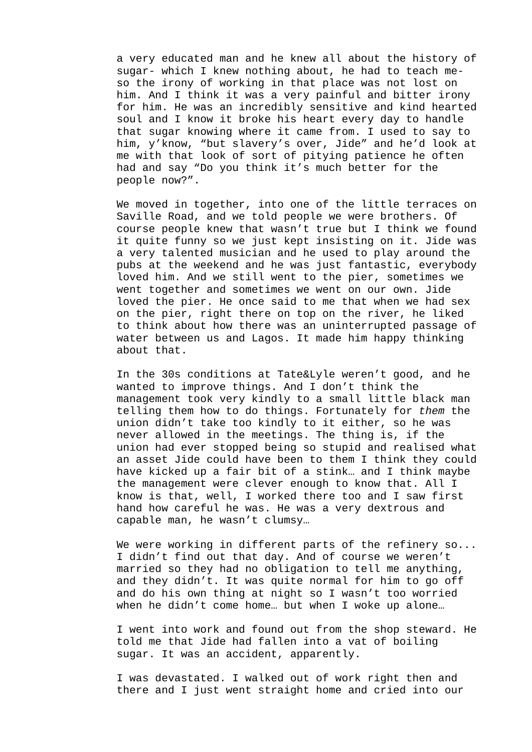a very educated man and he knew all about the history of sugar- which I knew nothing about, he had to teach meso the irony of working in that place was not lost on him. And I think it was a very painful and bitter irony for him. He was an incredibly sensitive and kind hearted soul and I know it broke his heart every day to handle that sugar knowing where it came from. I used to say to him, y'know, "but slavery's over, Jide" and he'd look at me with that look of sort of pitying patience he often had and say "Do you think it's much better for the people now?".

We moved in together, into one of the little terraces on Saville Road, and we told people we were brothers. Of course people knew that wasn't true but I think we found it quite funny so we just kept insisting on it. Jide was a very talented musician and he used to play around the pubs at the weekend and he was just fantastic, everybody loved him. And we still went to the pier, sometimes we went together and sometimes we went on our own. Jide loved the pier. He once said to me that when we had sex on the pier, right there on top on the river, he liked to think about how there was an uninterrupted passage of water between us and Lagos. It made him happy thinking about that.

In the 30s conditions at Tate&Lyle weren't good, and he wanted to improve things. And I don't think the management took very kindly to a small little black man telling them how to do things. Fortunately for *them* the union didn't take too kindly to it either, so he was never allowed in the meetings. The thing is, if the union had ever stopped being so stupid and realised what an asset Jide could have been to them I think they could have kicked up a fair bit of a stink… and I think maybe the management were clever enough to know that. All I know is that, well, I worked there too and I saw first hand how careful he was. He was a very dextrous and capable man, he wasn't clumsy…

We were working in different parts of the refinery so... I didn't find out that day. And of course we weren't married so they had no obligation to tell me anything, and they didn't. It was quite normal for him to go off and do his own thing at night so I wasn't too worried when he didn't come home… but when I woke up alone…

I went into work and found out from the shop steward. He told me that Jide had fallen into a vat of boiling sugar. It was an accident, apparently.

I was devastated. I walked out of work right then and there and I just went straight home and cried into our